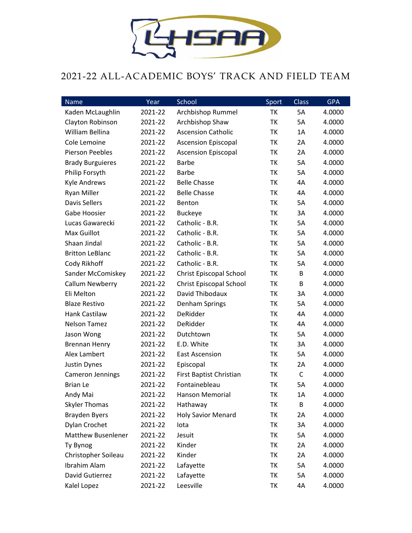

## 2021-22 ALL-ACADEMIC BOYS' TRACK AND FIELD TEAM

| Name                      | Year    | School                     | Sport | <b>Class</b> | <b>GPA</b> |
|---------------------------|---------|----------------------------|-------|--------------|------------|
| Kaden McLaughlin          | 2021-22 | Archbishop Rummel          | TK    | 5A           | 4.0000     |
| Clayton Robinson          | 2021-22 | Archbishop Shaw            | TK    | 5A           | 4.0000     |
| William Bellina           | 2021-22 | <b>Ascension Catholic</b>  | TK    | 1A           | 4.0000     |
| Cole Lemoine              | 2021-22 | <b>Ascension Episcopal</b> | TK    | 2A           | 4.0000     |
| Pierson Peebles           | 2021-22 | <b>Ascension Episcopal</b> | TK    | 2A           | 4.0000     |
| <b>Brady Burguieres</b>   | 2021-22 | <b>Barbe</b>               | TK    | 5A           | 4.0000     |
| Philip Forsyth            | 2021-22 | <b>Barbe</b>               | TK    | 5A           | 4.0000     |
| <b>Kyle Andrews</b>       | 2021-22 | <b>Belle Chasse</b>        | TK    | 4A           | 4.0000     |
| <b>Ryan Miller</b>        | 2021-22 | <b>Belle Chasse</b>        | TK    | 4A           | 4.0000     |
| <b>Davis Sellers</b>      | 2021-22 | Benton                     | TK    | 5A           | 4.0000     |
| Gabe Hoosier              | 2021-22 | <b>Buckeye</b>             | TK    | 3A           | 4.0000     |
| Lucas Gawarecki           | 2021-22 | Catholic - B.R.            | TK    | 5A           | 4.0000     |
| Max Guillot               | 2021-22 | Catholic - B.R.            | TK    | 5A           | 4.0000     |
| Shaan Jindal              | 2021-22 | Catholic - B.R.            | TK    | 5A           | 4.0000     |
| <b>Britton LeBlanc</b>    | 2021-22 | Catholic - B.R.            | TK    | 5A           | 4.0000     |
| Cody Rikhoff              | 2021-22 | Catholic - B.R.            | TK    | 5A           | 4.0000     |
| Sander McComiskey         | 2021-22 | Christ Episcopal School    | TK    | В            | 4.0000     |
| <b>Callum Newberry</b>    | 2021-22 | Christ Episcopal School    | TK    | B            | 4.0000     |
| Eli Melton                | 2021-22 | David Thibodaux            | TK    | 3A           | 4.0000     |
| <b>Blaze Restivo</b>      | 2021-22 | Denham Springs             | TK    | 5A           | 4.0000     |
| Hank Castilaw             | 2021-22 | DeRidder                   | TK    | 4A           | 4.0000     |
| <b>Nelson Tamez</b>       | 2021-22 | DeRidder                   | TK    | 4A           | 4.0000     |
| Jason Wong                | 2021-22 | Dutchtown                  | TK    | 5A           | 4.0000     |
| <b>Brennan Henry</b>      | 2021-22 | E.D. White                 | TK    | 3A           | 4.0000     |
| Alex Lambert              | 2021-22 | <b>East Ascension</b>      | TK    | 5A           | 4.0000     |
| Justin Dynes              | 2021-22 | Episcopal                  | TK    | 2A           | 4.0000     |
| <b>Cameron Jennings</b>   | 2021-22 | First Baptist Christian    | TK    | $\mathsf C$  | 4.0000     |
| <b>Brian Le</b>           | 2021-22 | Fontainebleau              | TK    | 5A           | 4.0000     |
| Andy Mai                  | 2021-22 | Hanson Memorial            | TK    | 1Α           | 4.0000     |
| <b>Skyler Thomas</b>      | 2021-22 | Hathaway                   | ΤK    | B            | 4.0000     |
| <b>Brayden Byers</b>      | 2021-22 | <b>Holy Savior Menard</b>  | ΤK    | 2A           | 4.0000     |
| Dylan Crochet             | 2021-22 | lota                       | TK    | 3A           | 4.0000     |
| <b>Matthew Busenlener</b> | 2021-22 | Jesuit                     | ΤK    | 5A           | 4.0000     |
| Ty Bynog                  | 2021-22 | Kinder                     | TK    | 2A           | 4.0000     |
| Christopher Soileau       | 2021-22 | Kinder                     | ΤK    | 2A           | 4.0000     |
| Ibrahim Alam              | 2021-22 | Lafayette                  | ΤK    | 5A           | 4.0000     |
| David Gutierrez           | 2021-22 | Lafayette                  | ΤK    | 5A           | 4.0000     |
| Kalel Lopez               | 2021-22 | Leesville                  | TK    | 4A           | 4.0000     |